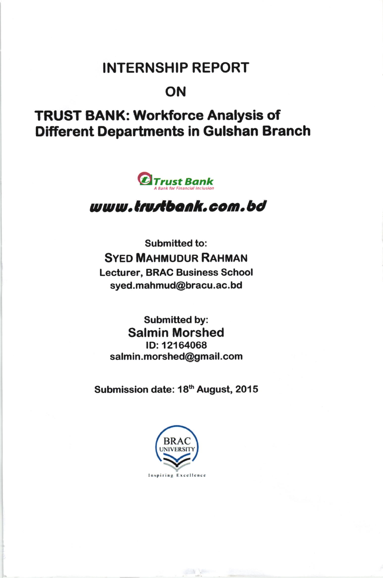## INTERNSHIP REPORT

#### ON

# TRUST BANK: Workforce Analysis of **Different Departments in Gulshan Branch**



### uuu.CtatCbonk.com.bd

Submitted to: **SYED MAHMUDUR RAHMAN** Lecturer, BRAC Business School syed.mahmud@bracu.ac.bd

Submitted by: Salmin Morshed lD:12164068 salmin.morshed@gmail.com

Submission date: 18<sup>th</sup> August, 2015

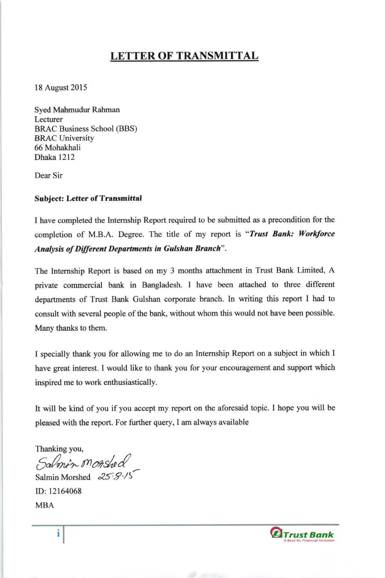#### **LETTER OF TRANSMITTAL**

l8 August 2015

Syed Mahmudur Rahman Lecturer BRAC Business School (BBS) BRAC University 66 Mohakhali Dhaka 1212

Dear Sir

#### Subject: Letter of Transmittal

I have completed the Intemship Report required to be submitted as a precondition for the completion of M.B.A. Degree. The title of my report is "Trust Bank: Workforce Analysis of Different Departments in Gulshan Branch".

The Intemship Report is based on my 3 months attachment in Trust Bank Limited, A private commercial bank in Bangladesh. I have been attached to three different departments of Trust Bank Gulshan corporate branch. In writing this report I had to consult with several people of the bank, without whom this would not have been possible. Many thanks to them.

I specially thank you for allowing me to do an Intemship Report on a subject in which I have great interest. I would like to thank you for your encouragement and support which inspired me to work enthusiastically.

It will be kind of you if you accept my report on the aforesaid topic. I hope you will be pleased with the report. For further query, I am always available

Thanking you,<br>Salme'n Monshed

Salmin Morshed  $25.8/5$ ID: 12164068 MBA

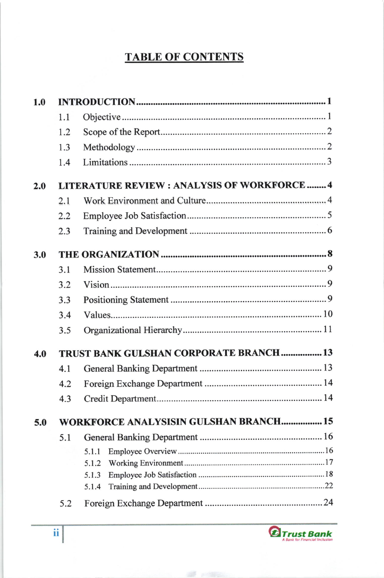#### TABLE OF CONTENTS

| 1.0 |                                                    |                |  |  |  |  |
|-----|----------------------------------------------------|----------------|--|--|--|--|
|     | 1.1                                                |                |  |  |  |  |
|     | 1.2                                                |                |  |  |  |  |
|     | 1.3                                                |                |  |  |  |  |
|     | 1.4                                                |                |  |  |  |  |
| 2.0 | <b>LITERATURE REVIEW: ANALYSIS OF WORKFORCE  4</b> |                |  |  |  |  |
|     | 2.1                                                |                |  |  |  |  |
|     | 2.2                                                |                |  |  |  |  |
|     | 2.3                                                |                |  |  |  |  |
| 3.0 |                                                    |                |  |  |  |  |
|     | 3.1                                                |                |  |  |  |  |
|     | 3.2                                                |                |  |  |  |  |
|     | 3.3                                                |                |  |  |  |  |
|     | 3.4                                                |                |  |  |  |  |
|     | 3.5                                                |                |  |  |  |  |
| 4.0 | TRUST BANK GULSHAN CORPORATE BRANCH  13            |                |  |  |  |  |
|     | 4.1                                                |                |  |  |  |  |
|     | 4.2                                                |                |  |  |  |  |
|     | 4.3                                                |                |  |  |  |  |
| 5.0 | <b>WORKFORCE ANALYSISIN GULSHAN BRANCH 15</b>      |                |  |  |  |  |
|     | 5.1                                                |                |  |  |  |  |
|     |                                                    | 5.1.1          |  |  |  |  |
|     |                                                    | 5.1.2          |  |  |  |  |
|     |                                                    | 5.1.3<br>5.1.4 |  |  |  |  |
|     |                                                    |                |  |  |  |  |
|     | 5.2                                                |                |  |  |  |  |

 $\mathscr{B}$  , then  $\mathscr{B}$